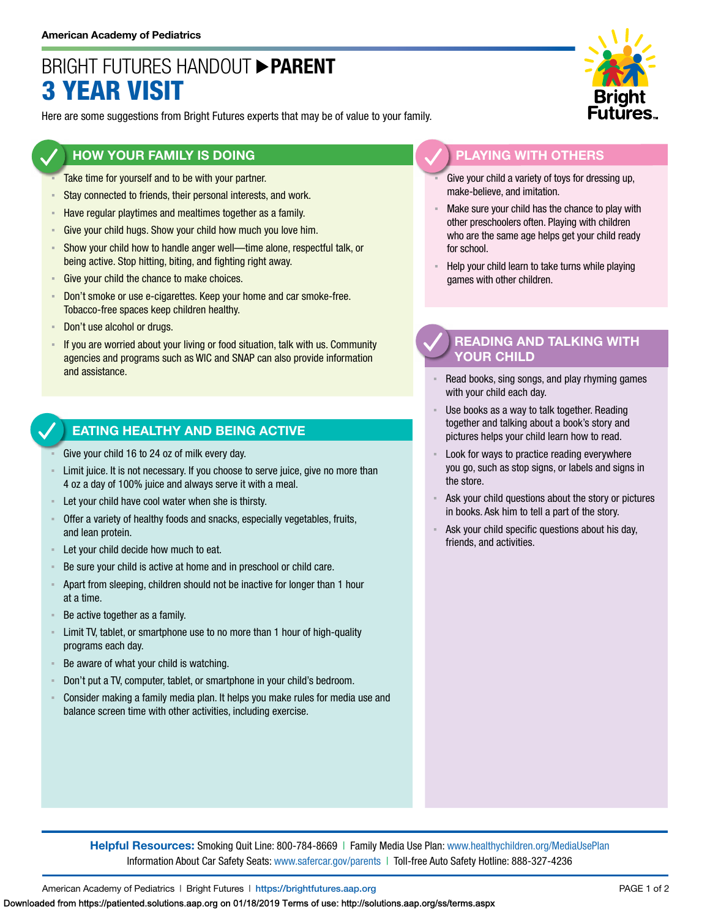## BRIGHT FUTURES HANDOUT **PARENT** 3 YEAR VISIT

Here are some suggestions from Bright Futures experts that may be of value to your family.

#### **HOW YOUR FAMILY IS DOING**

- Take time for yourself and to be with your partner.
- **EXECT** Stay connected to friends, their personal interests, and work.
- **EXECTE Have regular playtimes and mealtimes together as a family.**
- **EXECT:** Give your child hugs. Show your child how much you love him.
- Show your child how to handle anger well—time alone, respectful talk, or being active. Stop hitting, biting, and fighting right away.
- Give your child the chance to make choices.
- **EXECT** Don't smoke or use e-cigarettes. Keep your home and car smoke-free. Tobacco-free spaces keep children healthy.
- Don't use alcohol or drugs.
- If you are worried about your living or food situation, talk with us. Community agencies and programs such as WIC and SNAP can also provide information and assistance.

#### **EATING HEALTHY AND BEING ACTIVE**

- Give your child 16 to 24 oz of milk every day.
- Limit juice. It is not necessary. If you choose to serve juice, give no more than 4 oz a day of 100% juice and always serve it with a meal.
- Let your child have cool water when she is thirsty.
- Offer a variety of healthy foods and snacks, especially vegetables, fruits, and lean protein.
- Let your child decide how much to eat.
- Be sure your child is active at home and in preschool or child care.
- Apart from sleeping, children should not be inactive for longer than 1 hour at a time.
- Be active together as a family.
- **EXECT** Limit TV, tablet, or smartphone use to no more than 1 hour of high-quality programs each day.
- Be aware of what your child is watching.
- Don't put a TV, computer, tablet, or smartphone in your child's bedroom.
- Consider making a family media plan. It helps you make rules for media use and balance screen time with other activities, including exercise.



### **PLAYING WITH OTHERS**

- Give your child a variety of toys for dressing up, make-believe, and imitation.
- Make sure your child has the chance to play with other preschoolers often. Playing with children who are the same age helps get your child ready for school.
- Help your child learn to take turns while playing games with other children.

#### **READING AND TALKING WITH YOUR CHILD**

- Read books, sing songs, and play rhyming games with your child each day.
- Use books as a way to talk together. Reading together and talking about a book's story and pictures helps your child learn how to read.
- Look for ways to practice reading everywhere you go, such as stop signs, or labels and signs in the store.
- Ask your child questions about the story or pictures in books. Ask him to tell a part of the story.
- Ask your child specific questions about his day, friends, and activities.

**Helpful Resources:** Smoking Quit Line: 800-784-8669 | Family Media Use Plan: [www.healthychildren.org/MediaUsePlan](https://www.healthychildren.org/English/media/Pages/default.aspx) Information About Car Safety Seats: [www.safercar.gov/parents](https://www.nhtsa.gov/parents-and-caregivers) | Toll-free Auto Safety Hotline: 888-327-4236

American Academy of Pediatrics | Bright Futures | https://[brightfutures.aap.org](https://brightfutures.aap.org/Pages/default.aspx) PAGE 1 of 2

Downloaded from https://patiented.solutions.aap.org on 01/18/2019 Terms of use: http://solutions.aap.org/ss/terms.aspx